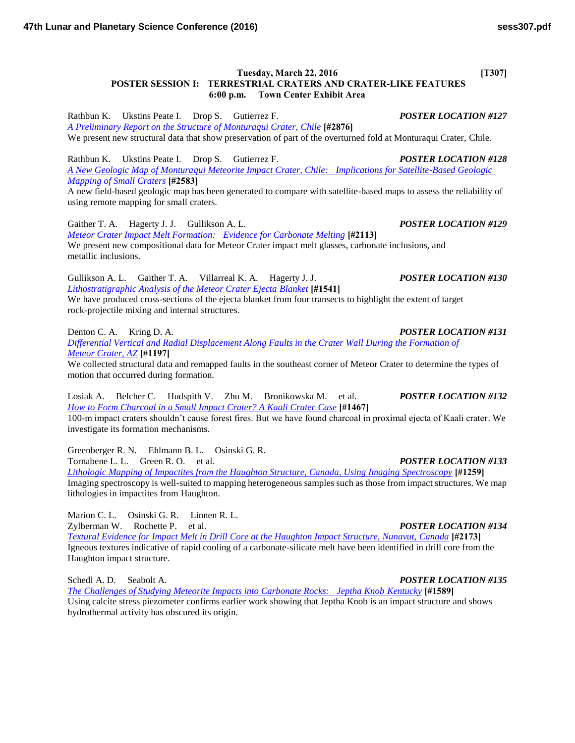## **Tuesday, March 22, 2016** [T307] **POSTER SESSION I: TERRESTRIAL CRATERS AND CRATER-LIKE FEATURES 6:00 p.m. Town Center Exhibit Area**

Rathbun K. Ukstins Peate I. Drop S. Gutierrez F. *POSTER LOCATION #127 [A Preliminary Report on the Structure of Monturaqui Crater, Chile](http://www.hou.usra.edu/meetings/lpsc2016/pdf/2876.pdf)* **[#2876]** We present new structural data that show preservation of part of the overturned fold at Monturaqui Crater, Chile.

Rathbun K. Ukstins Peate I. Drop S. Gutierrez F. *POSTER LOCATION #128 [A New Geologic Map of Monturaqui Meteorite Impact Crater, Chile: Implications for Satellite-Based Geologic](http://www.hou.usra.edu/meetings/lpsc2016/pdf/2583.pdf)  [Mapping of Small Craters](http://www.hou.usra.edu/meetings/lpsc2016/pdf/2583.pdf)* **[#2583]**

A new field-based geologic map has been generated to compare with satellite-based maps to assess the reliability of using remote mapping for small craters.

Gaither T. A. Hagerty J. J. Gullikson A. L. *POSTER LOCATION #129 [Meteor Crater Impact Melt Formation: Evidence for Carbonate Melting](http://www.hou.usra.edu/meetings/lpsc2016/pdf/2113.pdf)* **[#2113]** We present new compositional data for Meteor Crater impact melt glasses, carbonate inclusions, and metallic inclusions.

Gullikson A. L. Gaither T. A. Villarreal K. A. Hagerty J. J. *POSTER LOCATION #130 [Lithostratigraphic Analysis of the Meteor Crater Ejecta Blanket](http://www.hou.usra.edu/meetings/lpsc2016/pdf/1541.pdf)* **[#1541]** We have produced cross-sections of the ejecta blanket from four transects to highlight the extent of target rock-projectile mixing and internal structures.

Denton C. A. Kring D. A. *POSTER LOCATION #131*

*[Differential Vertical and Radial Displacement Along Faults in the Crater Wall During the Formation of](http://www.hou.usra.edu/meetings/lpsc2016/pdf/1197.pdf)  [Meteor Crater, AZ](http://www.hou.usra.edu/meetings/lpsc2016/pdf/1197.pdf)* **[#1197]**

We collected structural data and remapped faults in the southeast corner of Meteor Crater to determine the types of motion that occurred during formation.

Losiak A. Belcher C. Hudspith V. Zhu M. Bronikowska M. et al. *POSTER LOCATION #132 [How to Form Charcoal in a Small Impact Crater? A Kaali Crater Case](http://www.hou.usra.edu/meetings/lpsc2016/pdf/1467.pdf)* **[#1467]**

100-m impact craters shouldn't cause forest fires. But we have found charcoal in proximal ejecta of Kaali crater. We investigate its formation mechanisms.

Greenberger R. N. Ehlmann B. L. Osinski G. R. Tornabene L. L. Green R. O. et al. *POSTER LOCATION #133*

*[Lithologic Mapping of Impactites from the Haughton Structure, Canada, Using Imaging Spectroscopy](http://www.hou.usra.edu/meetings/lpsc2016/pdf/1259.pdf)* **[#1259]** Imaging spectroscopy is well-suited to mapping heterogeneous samples such as those from impact structures. We map lithologies in impactites from Haughton.

Marion C. L. Osinski G. R. Linnen R. L.

Zylberman W. Rochette P. et al. *POSTER LOCATION #134*

*[Textural Evidence for Impact Melt in Drill Core at the Haughton Impact Structure, Nunavut, Canada](http://www.hou.usra.edu/meetings/lpsc2016/pdf/2173.pdf)* **[#2173]** Igneous textures indicative of rapid cooling of a carbonate-silicate melt have been identified in drill core from the Haughton impact structure.

Schedl A. D. Seabolt A. *POSTER LOCATION #135* 

*[The Challenges of Studying Meteorite Impacts into Carbonate Rocks: Jeptha Knob Kentucky](http://www.hou.usra.edu/meetings/lpsc2016/pdf/1589.pdf)* **[#1589]** Using calcite stress piezometer confirms earlier work showing that Jeptha Knob is an impact structure and shows hydrothermal activity has obscured its origin.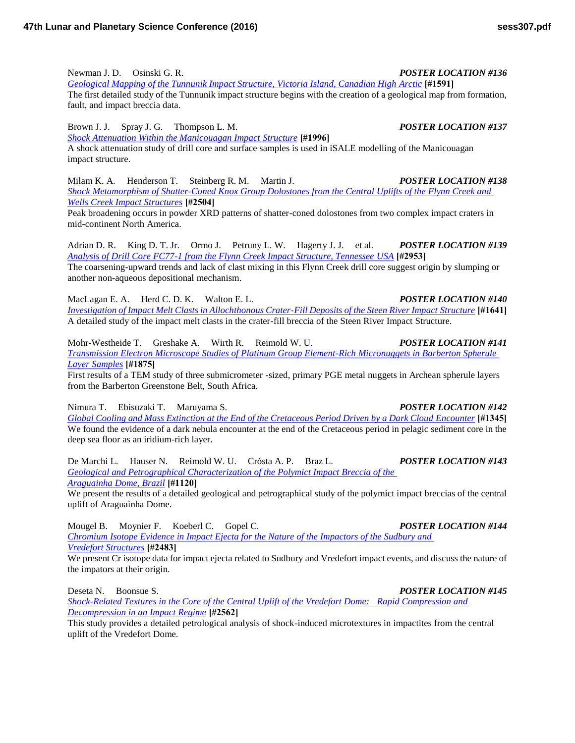## Newman J. D. Osinski G. R. *POSTER LOCATION #136*

*[Geological Mapping of the Tunnunik Impact Structure, Victoria Island, Canadian High Arctic](http://www.hou.usra.edu/meetings/lpsc2016/pdf/1591.pdf)* **[#1591]**

The first detailed study of the Tunnunik impact structure begins with the creation of a geological map from formation, fault, and impact breccia data.

Brown J. J. Spray J. G. Thompson L. M. *POSTER LOCATION #137*

*[Shock Attenuation Within the Manicouagan Impact Structure](http://www.hou.usra.edu/meetings/lpsc2016/pdf/1996.pdf)* **[#1996]** A shock attenuation study of drill core and surface samples is used in iSALE modelling of the Manicouagan impact structure.

Milam K. A. Henderson T. Steinberg R. M. Martin J. *POSTER LOCATION #138 [Shock Metamorphism of Shatter-Coned Knox Group Dolostones from the Central Uplifts of the Flynn Creek and](http://www.hou.usra.edu/meetings/lpsc2016/pdf/2504.pdf)  [Wells Creek Impact Structures](http://www.hou.usra.edu/meetings/lpsc2016/pdf/2504.pdf)* **[#2504]**

Peak broadening occurs in powder XRD patterns of shatter-coned dolostones from two complex impact craters in mid-continent North America.

Adrian D. R. King D. T. Jr. Ormo J. Petruny L. W. Hagerty J. J. et al. *POSTER LOCATION #139 [Analysis of Drill Core FC77-1 from the Flynn Creek Impact Structure, Tennessee USA](http://www.hou.usra.edu/meetings/lpsc2016/pdf/2953.pdf)* **[#2953]** The coarsening-upward trends and lack of clast mixing in this Flynn Creek drill core suggest origin by slumping or another non-aqueous depositional mechanism.

MacLagan E. A. Herd C. D. K. Walton E. L. *POSTER LOCATION #140 [Investigation of Impact Melt Clasts in Allochthonous Crater-Fill Deposits of the Steen River Impact Structure](http://www.hou.usra.edu/meetings/lpsc2016/pdf/1641.pdf)* **[#1641]** A detailed study of the impact melt clasts in the crater-fill breccia of the Steen River Impact Structure.

Mohr-Westheide T. Greshake A. Wirth R. Reimold W. U. *POSTER LOCATION #141 [Transmission Electron Microscope Studies of Platinum Group Element-Rich Micronuggets in Barberton Spherule](http://www.hou.usra.edu/meetings/lpsc2016/pdf/1875.pdf)  [Layer Samples](http://www.hou.usra.edu/meetings/lpsc2016/pdf/1875.pdf)* **[#1875]**

First results of a TEM study of three submicrometer -sized, primary PGE metal nuggets in Archean spherule layers from the Barberton Greenstone Belt, South Africa.

Nimura T. Ebisuzaki T. Maruyama S. *POSTER LOCATION #142*

*[Global Cooling and Mass Extinction at the End of the Cretaceous Period Driven by a Dark Cloud Encounter](http://www.hou.usra.edu/meetings/lpsc2016/pdf/1345.pdf)* **[#1345]** We found the evidence of a dark nebula encounter at the end of the Cretaceous period in pelagic sediment core in the deep sea floor as an iridium-rich layer.

De Marchi L. Hauser N. Reimold W. U. Crósta A. P. Braz L. *POSTER LOCATION #143 [Geological and Petrographical Characterization of the Polymict Impact Breccia of the](http://www.hou.usra.edu/meetings/lpsc2016/pdf/1120.pdf)  [Araguainha Dome, Brazil](http://www.hou.usra.edu/meetings/lpsc2016/pdf/1120.pdf)* **[#1120]**

We present the results of a detailed geological and petrographical study of the polymict impact breccias of the central uplift of Araguainha Dome.

Mougel B. Moynier F. Koeberl C. Gopel C. *POSTER LOCATION #144 [Chromium Isotope Evidence in Impact Ejecta for the Nature of the Impactors of the Sudbury and](http://www.hou.usra.edu/meetings/lpsc2016/pdf/2483.pdf)  [Vredefort Structures](http://www.hou.usra.edu/meetings/lpsc2016/pdf/2483.pdf)* **[#2483]**

We present Cr isotope data for impact ejecta related to Sudbury and Vredefort impact events, and discuss the nature of the impators at their origin.

# Deseta N. Boonsue S. *POSTER LOCATION #145*

*[Shock-Related Textures in the Core of the Central Uplift of the Vredefort Dome: Rapid Compression and](http://www.hou.usra.edu/meetings/lpsc2016/pdf/2562.pdf)  [Decompression in an Impact Regime](http://www.hou.usra.edu/meetings/lpsc2016/pdf/2562.pdf)* **[#2562]**

This study provides a detailed petrological analysis of shock-induced microtextures in impactites from the central uplift of the Vredefort Dome.